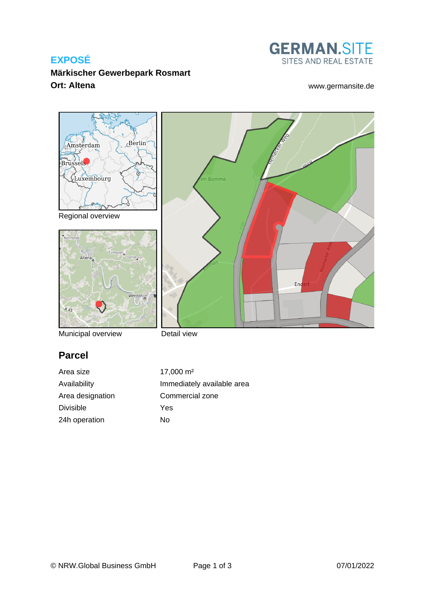# **EXPOSÉ**



End

**Märkischer Gewerbepark Rosmart Ort: Altena** [www.germansite.de](http://www.germansite.de)



Regional overview



Municipal overview

# **Parcel**

Divisible Yes 24h operation No



m Bomme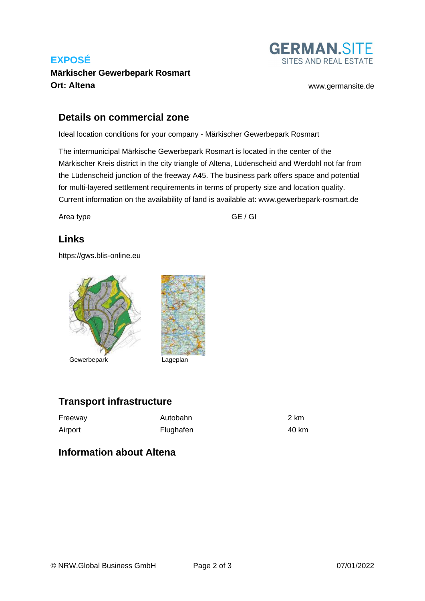# **EXPOSÉ Märkischer Gewerbepark Rosmart Ort: Altena** [www.germansite.de](http://www.germansite.de)



#### **Details on commercial zone**

Ideal location conditions for your company - Märkischer Gewerbepark Rosmart

The intermunicipal Märkische Gewerbepark Rosmart is located in the center of the Märkischer Kreis district in the city triangle of Altena, Lüdenscheid and Werdohl not far from the Lüdenscheid junction of the freeway A45. The business park offers space and potential for multi-layered settlement requirements in terms of property size and location quality. Current information on the availability of land is available at: www.gewerbepark-rosmart.de

Area type GE / GI

### **Links**

<https://gws.blis-online.eu>



### **Transport infrastructure**

| Freeway | Autobahn  | 2 km  |
|---------|-----------|-------|
| Airport | Flughafen | 40 km |

#### **Information about Altena**